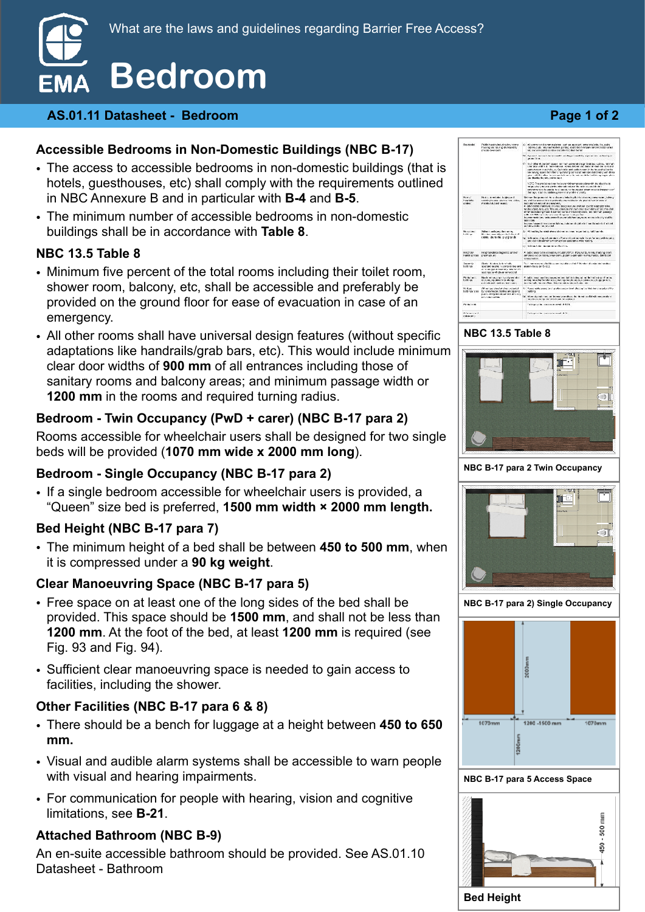

#### **AS.01.11 Datasheet - Bedroom Page 1 of 2**

## **Accessible Bedrooms in Non-Domestic Buildings (NBC B-17)**

- The access to accessible bedrooms in non-domestic buildings (that is hotels, guesthouses, etc) shall comply with the requirements outlined in NBC Annexure B and in particular with **B-4** and **B-5**.
- The minimum number of accessible bedrooms in non-domestic buildings shall be in accordance with **Table 8**.

#### **NBC 13.5 Table 8**

- Minimum five percent of the total rooms including their toilet room, shower room, balcony, etc, shall be accessible and preferably be provided on the ground floor for ease of evacuation in case of an emergency.
- All other rooms shall have universal design features (without specific adaptations like handrails/grab bars, etc). This would include minimum clear door widths of **900 mm** of all entrances including those of sanitary rooms and balcony areas; and minimum passage width or **1200 mm** in the rooms and required turning radius.

## **Bedroom - Twin Occupancy (PwD + carer) (NBC B-17 para 2)**

Rooms accessible for wheelchair users shall be designed for two single beds will be provided (**1070 mm wide x 2000 mm long**).

#### **Bedroom - Single Occupancy (NBC B-17 para 2)**

• If a single bedroom accessible for wheelchair users is provided, a "Queen" size bed is preferred, **1500 mm width × 2000 mm length.**

#### **Bed Height (NBC B-17 para 7)**

• The minimum height of a bed shall be between **450 to 500 mm**, when it is compressed under a **90 kg weight**.

#### **Clear Manoeuvring Space (NBC B-17 para 5)**

- Free space on at least one of the long sides of the bed shall be provided. This space should be **1500 mm**, and shall not be less than **1200 mm**. At the foot of the bed, at least **1200 mm** is required (see Fig. 93 and Fig. 94).
- Sufficient clear manoeuvring space is needed to gain access to facilities, including the shower.

#### **Other Facilities (NBC B-17 para 6 & 8)**

- There should be a bench for luggage at a height between **450 to 650 mm.**
- Visual and audible alarm systems shall be accessible to warn people with visual and hearing impairments.
- For communication for people with hearing, vision and cognitive limitations, see **B-21**.

#### **Attached Bathroom (NBC B-9)**

An en-suite accessible bathroom should be provided. See AS.01.10 Datasheet - Bathroom

#### $\label{eq:main} \begin{minipage}[t]{0.0\textwidth} \begin{minipage}[t]{0.0\textwidth} \begin{tabular}[t]{0.0\textwidth} \begin{tabular}[t]{0.0\textwidth} \begin{tabular}[t]{0.0\textwidth} \begin{tabular}[t]{0.0\textwidth} \begin{tabular}[t]{0.0\textwidth} \begin{tabular}[t]{0.0\textwidth} \begin{tabular}[t]{0.0\textwidth} \begin{tabular}[t]{0.0\textwidth} \begin{tabular}[t]{0.0\textwidth} \begin{tabular}[t]{0.0\textwidth} \begin{tabular}[t]{0.0\textwidth} \begin{tabular}[t]{0.0\textwidth}$  $\mathbf{B}_n$  . The contraction and constant to the second  $\mathbf{B}_n$  , and as set in the state of the second in the second interval  $\mathbf{B}_n$  $\sim$  000 m and 100 m and 100 m and 100 m and 100 m and 100 m and 100 m and 100 m and 100 m and 100 m and 100 m and 100 m and 100 m and 100 m and 100 m and 100 m and 100 m and 100 m and 100 m and 100 m and 100 m and 100 m  $\lambda$  (2012). The previous other is so and infinite process of<br>the relationship work to only other of a relation for which can need that<br>is supported to the state to as a strategy of the collapse of the<br>strategy channels, . Their age, staat on, addition, general categories Categories (2000)<br>1980 - The Communication of the contemplation and children from the proof of Communication<br>1980 - The Communication of problems, one provided by the pr Normal - Notato Americano (objevojandi<br>Pospitalis, - rozaling houses such si meta pluta.<br>Aleksal - - metale and museo. A color communications consists describes as a primer some subsequent of the second state of the second state of the second state of the second state of the second state of the second state of the second state of the seco maan waxay u maanadka tahay saaraan waxaa la kale waxay ka mid ay gala ka saba dhii waxay u mid ay gala ka saba<br>aada ahaa waxaa mid ahaa waxay waxaa baad<br>a As paths, seems to be accounting, and analytic 20  $\pm$  0 Figs., we take, on each changing score<br>seeming to construct the second second second second second matrix. See but<br>process second -<br>Holdraw - Hosprandskoldager<br>Freithindrich - premiers en  $\label{eq:main} \begin{minipage}[t]{0.0\textwidth} \begin{minipage}[t]{0.0\textwidth} \begin{minipage}[t]{0.0\textwidth} \begin{minipage}[t]{0.0\textwidth} \begin{minipage}[t]{0.0\textwidth} \begin{minipage}[t]{0.0\textwidth} \begin{minipage}[t]{0.0\textwidth} \begin{minipage}[t]{0.0\textwidth} \begin{minipage}[t]{0.0\textwidth} \begin{minipage}[t]{0.0\textwidth} \begin{minipage}[t]{0.0\textwidth} \begin{minipage}[t]{0.0\textwidth} \begin{minipage}[t]{0.0\textwidth} \begin{minip$ Note that the contract of the contract of the state and process of the fields of the state of the state of the contract of the contract of the contract of the contract of the contract of the contract of the contract of th  $\begin{array}{lll} \text{We figure} & \text{All in the solution of the model} \\ \text{bulk term} & \text{by connected number of the model} \\ & \text{point} & \text{power} \\ & \text{power} & \text{number} \\ & \text{over-coupling} \\ \text{or} & \text{over-coupling} \\ \end{array}$ Particular  $\Omega$  , there the subsequent to an extreme contribution, the  $\Phi$  -red on distribution constraints on the shock of contribution depisols  $\label{eq:1}$  . Take priority interactions of<br>  $\Phi^*\theta$ Schoolward<br>Internet

#### **NBC 13.5 Table 8**



**NBC B-17 para 2 Twin Occupancy**